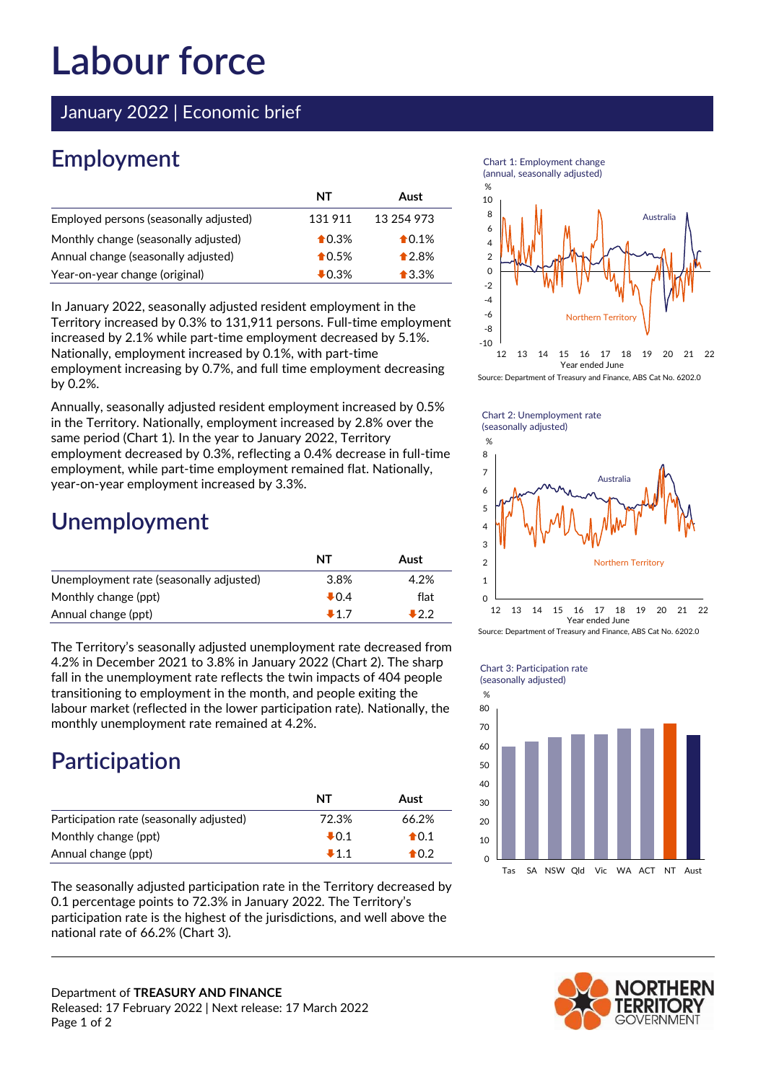# Labour force

January 2022 | Economic brief

## **Employment**

|                                        | NΤ               | Aust            |
|----------------------------------------|------------------|-----------------|
| Employed persons (seasonally adjusted) | 131911           | 13 254 973      |
| Monthly change (seasonally adjusted)   | $\bigstar$ 0.3%  | $\bigstar$ 0.1% |
| Annual change (seasonally adjusted)    | $\bigstar$ 0.5%  | $*2.8%$         |
| Year-on-year change (original)         | $\clubsuit$ 0.3% | $\bigstar$ 3.3% |

 In January 2022, seasonally adjusted resident employment in the Territory increased by 0.3% to 131,911 persons. Full-time employment increased by 2.1% while part-time employment decreased by 5.1%. Nationally, employment increased by 0.1%, with part-time employment increasing by 0.7%, and full time employment decreasing by 0.2%.

 Annually, seasonally adjusted resident employment increased by 0.5% in the Territory. Nationally, employment increased by 2.8% over the same period (Chart 1). In the year to January 2022, Territory employment decreased by 0.3%, reflecting a 0.4% decrease in full-time employment, while part-time employment remained flat. Nationally, year-on-year employment increased by 3.3%.

### Unemployment

|                                         | ΝT     | Aust |
|-----------------------------------------|--------|------|
| Unemployment rate (seasonally adjusted) | 3.8%   | 4.2% |
| Monthly change (ppt)                    | $+0.4$ | flat |
| Annual change (ppt)                     | $+17$  | 122  |

 The Territory's seasonally adjusted unemployment rate decreased from 4.2% in December 2021 to 3.8% in January 2022 (Chart 2). The sharp fall in the unemployment rate reflects the twin impacts of 404 people transitioning to employment in the month, and people exiting the labour market (reflected in the lower participation rate). Nationally, the monthly unemployment rate remained at 4.2%.

### Participation

|                                          |                 |                 | 4U<br>30 |  |
|------------------------------------------|-----------------|-----------------|----------|--|
|                                          | ΝT              | Aust            |          |  |
| Participation rate (seasonally adjusted) | 72.3%           | 66.2%           | 20       |  |
| Monthly change (ppt)                     | $\clubsuit$ 0.1 | $\bigstar$ 0.1  | 10       |  |
| Annual change (ppt)                      | $+1.1$          | $\triangle$ 0.2 | 0        |  |

 The seasonally adjusted participation rate in the Territory decreased by 0.1 percentage points to 72.3% in January 2022. The Territory's participation rate is the highest of the jurisdictions, and well above the national rate of 66.2% (Chart 3).







#### Chart 3: Participation rate (seasonally adjusted)